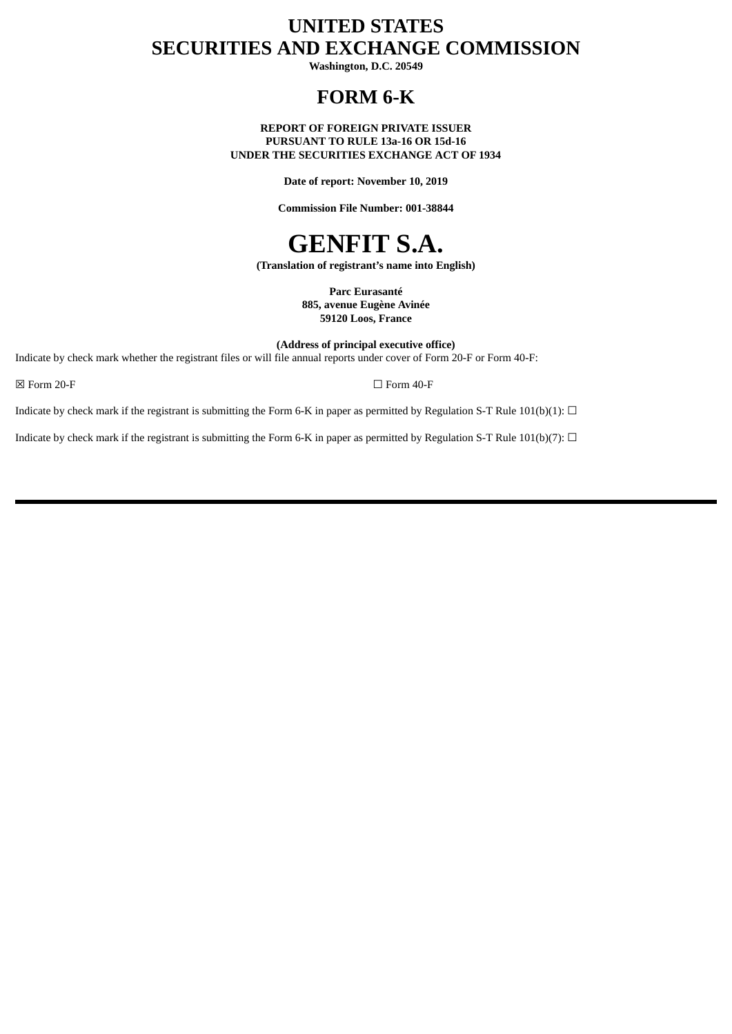# **UNITED STATES SECURITIES AND EXCHANGE COMMISSION**

**Washington, D.C. 20549**

# **FORM 6-K**

**REPORT OF FOREIGN PRIVATE ISSUER PURSUANT TO RULE 13a-16 OR 15d-16 UNDER THE SECURITIES EXCHANGE ACT OF 1934**

**Date of report: November 10, 2019**

**Commission File Number: 001-38844**

# **GENFIT S.A.**

**(Translation of registrant's name into English)**

**Parc Eurasanté 885, avenue Eugène Avinée 59120 Loos, France**

**(Address of principal executive office)**

Indicate by check mark whether the registrant files or will file annual reports under cover of Form 20-F or Form 40-F:

 $\boxtimes$  Form 20-F  $\Box$  Form 40-F

Indicate by check mark if the registrant is submitting the Form 6-K in paper as permitted by Regulation S-T Rule 101(b)(1):  $\Box$ 

Indicate by check mark if the registrant is submitting the Form 6-K in paper as permitted by Regulation S-T Rule 101(b)(7):  $\Box$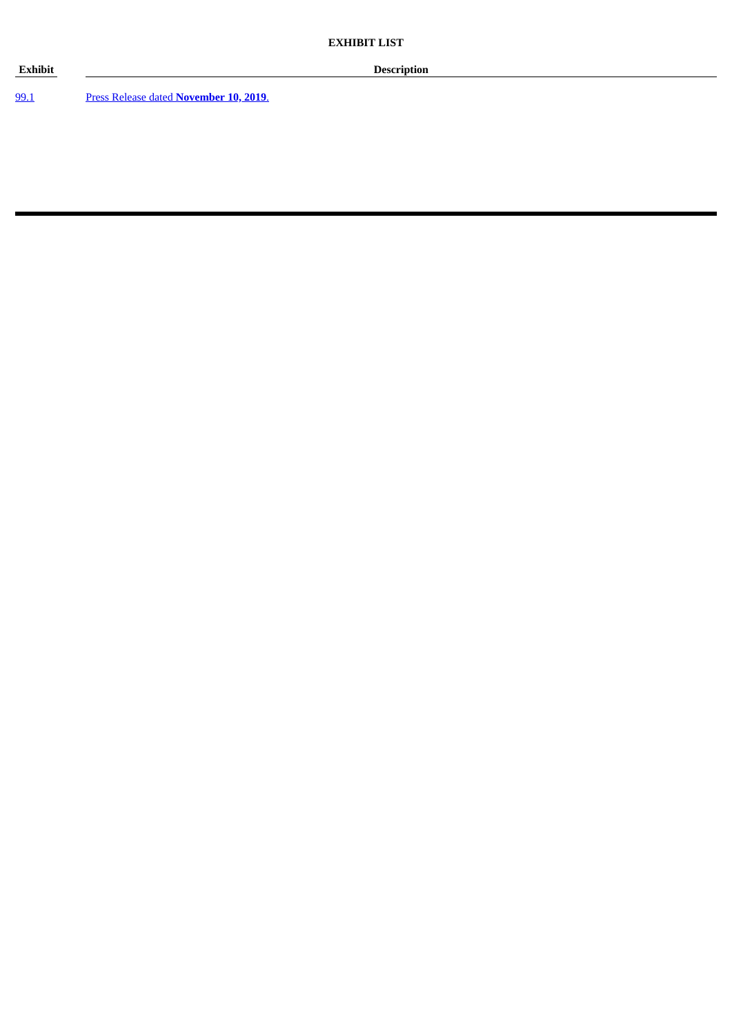# **Exhibit Description**

99.1 Press Release dated **November 10, 2019**.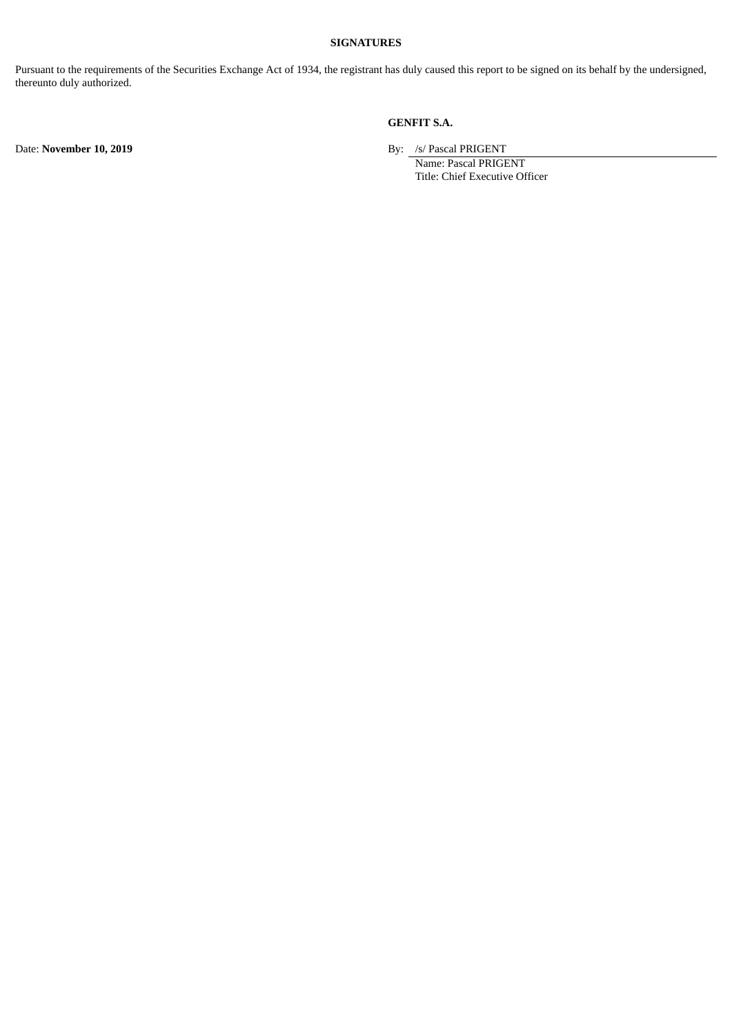#### **SIGNATURES**

Pursuant to the requirements of the Securities Exchange Act of 1934, the registrant has duly caused this report to be signed on its behalf by the undersigned, thereunto duly authorized.

# **GENFIT S.A.**

Date: **November 10, 2019** By: /s/ Pascal PRIGENT

Name: Pascal PRIGENT Title: Chief Executive Officer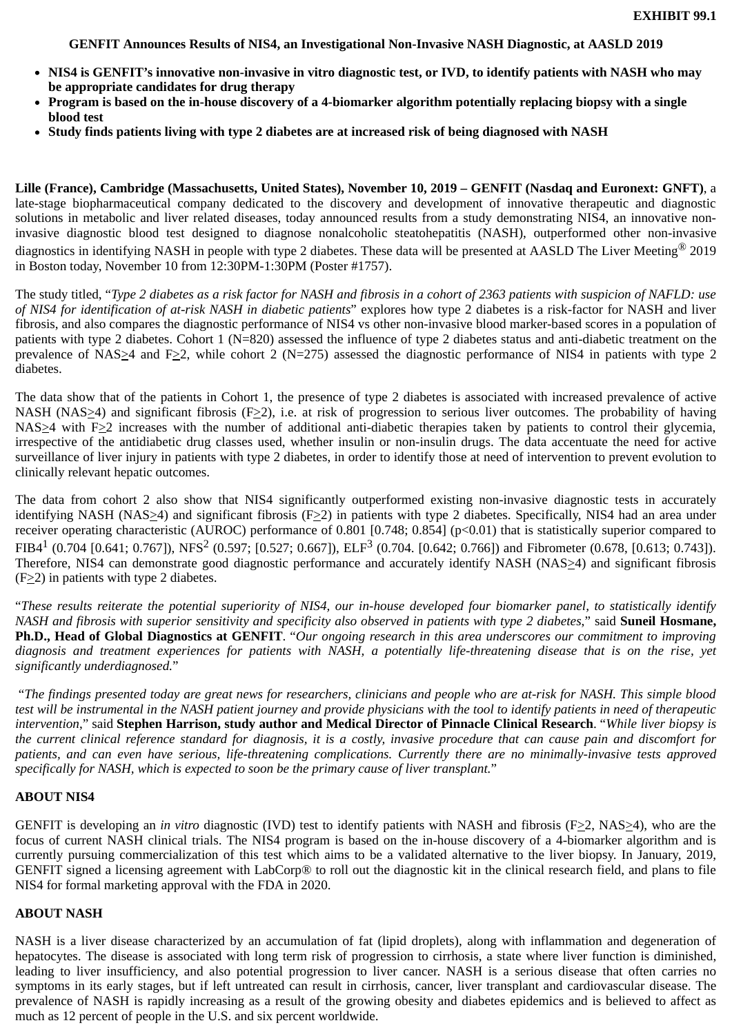**GENFIT Announces Results of NIS4, an Investigational Non-Invasive NASH Diagnostic, at AASLD 2019**

- **NIS4 is GENFIT's innovative non-invasive in vitro diagnostic test, or IVD, to identify patients with NASH who may be appropriate candidates for drug therapy**
- **Program is based on the in-house discovery of a 4-biomarker algorithm potentially replacing biopsy with a single blood test**
- **Study finds patients living with type 2 diabetes are at increased risk of being diagnosed with NASH**

**Lille (France), Cambridge (Massachusetts, United States), November 10, 2019 – GENFIT (Nasdaq and Euronext: GNFT)**, a late-stage biopharmaceutical company dedicated to the discovery and development of innovative therapeutic and diagnostic solutions in metabolic and liver related diseases, today announced results from a study demonstrating NIS4, an innovative noninvasive diagnostic blood test designed to diagnose nonalcoholic steatohepatitis (NASH), outperformed other non-invasive diagnostics in identifying NASH in people with type 2 diabetes. These data will be presented at AASLD The Liver Meeting<sup>®</sup> 2019 in Boston today, November 10 from 12:30PM-1:30PM (Poster #1757).

The study titled, "*Type 2 diabetes as a risk factor for NASH and fibrosis in a cohort of 2363 patients with suspicion of NAFLD: use of NIS4 for identification of at-risk NASH in diabetic patients*" explores how type 2 diabetes is a risk-factor for NASH and liver fibrosis, and also compares the diagnostic performance of NIS4 vs other non-invasive blood marker-based scores in a population of patients with type 2 diabetes. Cohort 1 (N=820) assessed the influence of type 2 diabetes status and anti-diabetic treatment on the prevalence of NAS>4 and F>2, while cohort 2 (N=275) assessed the diagnostic performance of NIS4 in patients with type 2 diabetes.

The data show that of the patients in Cohort 1, the presence of type 2 diabetes is associated with increased prevalence of active NASH (NAS $\geq$ 4) and significant fibrosis (F $\geq$ 2), i.e. at risk of progression to serious liver outcomes. The probability of having NAS>4 with F>2 increases with the number of additional anti-diabetic therapies taken by patients to control their glycemia, irrespective of the antidiabetic drug classes used, whether insulin or non-insulin drugs. The data accentuate the need for active surveillance of liver injury in patients with type 2 diabetes, in order to identify those at need of intervention to prevent evolution to clinically relevant hepatic outcomes.

The data from cohort 2 also show that NIS4 significantly outperformed existing non-invasive diagnostic tests in accurately identifying NASH (NAS $\geq$ 4) and significant fibrosis (F $\geq$ 2) in patients with type 2 diabetes. Specifically, NIS4 had an area under receiver operating characteristic (AUROC) performance of 0.801 [0.748; 0.854] (p<0.01) that is statistically superior compared to FIB4<sup>1</sup> (0.704 [0.641; 0.767]), NFS<sup>2</sup> (0.597; [0.527; 0.667]), ELF<sup>3</sup> (0.704. [0.642; 0.766]) and Fibrometer (0.678, [0.613; 0.743]). Therefore, NIS4 can demonstrate good diagnostic performance and accurately identify NASH (NAS>4) and significant fibrosis (F>2) in patients with type 2 diabetes.

"*These results reiterate the potential superiority of NIS4, our in-house developed four biomarker panel, to statistically identify NASH and fibrosis with superior sensitivity and specificity also observed in patients with type 2 diabetes*," said **Suneil Hosmane, Ph.D., Head of Global Diagnostics at GENFIT**. "*Our ongoing research in this area underscores our commitment to improving diagnosis and treatment experiences for patients with NASH, a potentially life-threatening disease that is on the rise, yet significantly underdiagnosed.*"

 "*The findings presented today are great news for researchers, clinicians and people who are at-risk for NASH. This simple blood test will be instrumental in the NASH patient journey and provide physicians with the tool to identify patients in need of therapeutic intervention*," said **Stephen Harrison, study author and Medical Director of Pinnacle Clinical Research**. "*While liver biopsy is the current clinical reference standard for diagnosis, it is a costly, invasive procedure that can cause pain and discomfort for patients, and can even have serious, life-threatening complications. Currently there are no minimally-invasive tests approved specifically for NASH, which is expected to soon be the primary cause of liver transplant.*"

#### **ABOUT NIS4**

GENFIT is developing an *in vitro* diagnostic (IVD) test to identify patients with NASH and fibrosis (F $\geq$ 2, NAS $\geq$ 4), who are the focus of current NASH clinical trials. The NIS4 program is based on the in-house discovery of a 4-biomarker algorithm and is currently pursuing commercialization of this test which aims to be a validated alternative to the liver biopsy. In January, 2019, GENFIT signed a licensing agreement with LabCorp® to roll out the diagnostic kit in the clinical research field, and plans to file NIS4 for formal marketing approval with the FDA in 2020.

#### **ABOUT NASH**

NASH is a liver disease characterized by an accumulation of fat (lipid droplets), along with inflammation and degeneration of hepatocytes. The disease is associated with long term risk of progression to cirrhosis, a state where liver function is diminished, leading to liver insufficiency, and also potential progression to liver cancer. NASH is a serious disease that often carries no symptoms in its early stages, but if left untreated can result in cirrhosis, cancer, liver transplant and cardiovascular disease. The prevalence of NASH is rapidly increasing as a result of the growing obesity and diabetes epidemics and is believed to affect as much as 12 percent of people in the U.S. and six percent worldwide.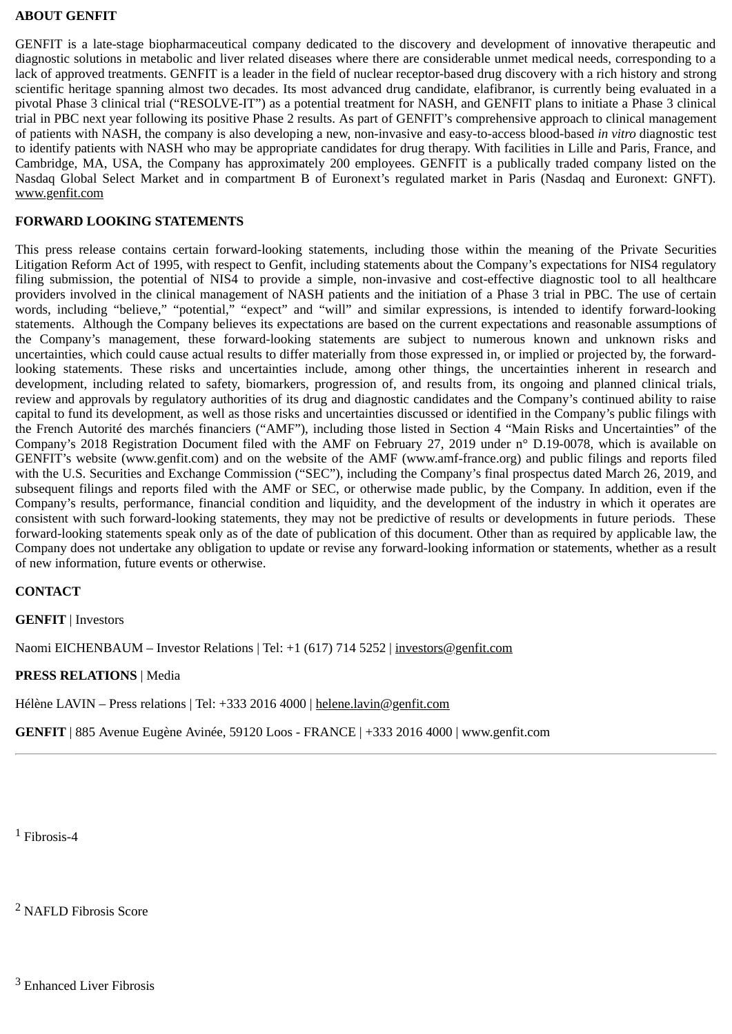## **ABOUT GENFIT**

GENFIT is a late-stage biopharmaceutical company dedicated to the discovery and development of innovative therapeutic and diagnostic solutions in metabolic and liver related diseases where there are considerable unmet medical needs, corresponding to a lack of approved treatments. GENFIT is a leader in the field of nuclear receptor-based drug discovery with a rich history and strong scientific heritage spanning almost two decades. Its most advanced drug candidate, elafibranor, is currently being evaluated in a pivotal Phase 3 clinical trial ("RESOLVE-IT") as a potential treatment for NASH, and GENFIT plans to initiate a Phase 3 clinical trial in PBC next year following its positive Phase 2 results. As part of GENFIT's comprehensive approach to clinical management of patients with NASH, the company is also developing a new, non-invasive and easy-to-access blood-based *in vitro* diagnostic test to identify patients with NASH who may be appropriate candidates for drug therapy. With facilities in Lille and Paris, France, and Cambridge, MA, USA, the Company has approximately 200 employees. GENFIT is a publically traded company listed on the Nasdaq Global Select Market and in compartment B of Euronext's regulated market in Paris (Nasdaq and Euronext: GNFT). www.genfit.com

# **FORWARD LOOKING STATEMENTS**

This press release contains certain forward-looking statements, including those within the meaning of the Private Securities Litigation Reform Act of 1995, with respect to Genfit, including statements about the Company's expectations for NIS4 regulatory filing submission, the potential of NIS4 to provide a simple, non-invasive and cost-effective diagnostic tool to all healthcare providers involved in the clinical management of NASH patients and the initiation of a Phase 3 trial in PBC. The use of certain words, including "believe," "potential," "expect" and "will" and similar expressions, is intended to identify forward-looking statements. Although the Company believes its expectations are based on the current expectations and reasonable assumptions of the Company's management, these forward-looking statements are subject to numerous known and unknown risks and uncertainties, which could cause actual results to differ materially from those expressed in, or implied or projected by, the forwardlooking statements. These risks and uncertainties include, among other things, the uncertainties inherent in research and development, including related to safety, biomarkers, progression of, and results from, its ongoing and planned clinical trials, review and approvals by regulatory authorities of its drug and diagnostic candidates and the Company's continued ability to raise capital to fund its development, as well as those risks and uncertainties discussed or identified in the Company's public filings with the French Autorité des marchés financiers ("AMF"), including those listed in Section 4 "Main Risks and Uncertainties" of the Company's 2018 Registration Document filed with the AMF on February 27, 2019 under n° D.19-0078, which is available on GENFIT's website (www.genfit.com) and on the website of the AMF (www.amf-france.org) and public filings and reports filed with the U.S. Securities and Exchange Commission ("SEC"), including the Company's final prospectus dated March 26, 2019, and subsequent filings and reports filed with the AMF or SEC, or otherwise made public, by the Company. In addition, even if the Company's results, performance, financial condition and liquidity, and the development of the industry in which it operates are consistent with such forward-looking statements, they may not be predictive of results or developments in future periods. These forward-looking statements speak only as of the date of publication of this document. Other than as required by applicable law, the Company does not undertake any obligation to update or revise any forward-looking information or statements, whether as a result of new information, future events or otherwise.

## **CONTACT**

**GENFIT** | Investors

Naomi EICHENBAUM – Investor Relations | Tel: +1 (617) 714 5252 | investors@genfit.com

**PRESS RELATIONS** | Media

Hélène LAVIN - Press relations | Tel: +333 2016 4000 | helene.lavin@genfit.com

**GENFIT** | 885 Avenue Eugène Avinée, 59120 Loos - FRANCE | +333 2016 4000 | www.genfit.com

1 Fibrosis-4

2 NAFLD Fibrosis Score

<sup>3</sup> Enhanced Liver Fibrosis